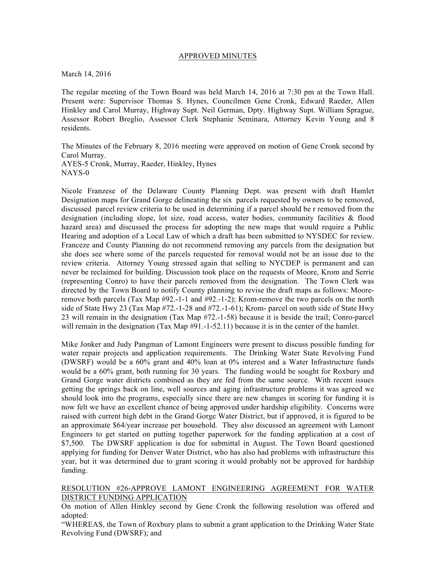## APPROVED MINUTES

March 14, 2016

The regular meeting of the Town Board was held March 14, 2016 at 7:30 pm at the Town Hall. Present were: Supervisor Thomas S. Hynes, Councilmen Gene Cronk, Edward Raeder, Allen Hinkley and Carol Murray, Highway Supt. Neil German, Dpty. Highway Supt. William Sprague, Assessor Robert Breglio, Assessor Clerk Stephanie Seminara, Attorney Kevin Young and 8 residents.

The Minutes of the February 8, 2016 meeting were approved on motion of Gene Cronk second by Carol Murray. AYES-5 Cronk, Murray, Raeder, Hinkley, Hynes NAYS-0

Nicole Franzese of the Delaware County Planning Dept. was present with draft Hamlet Designation maps for Grand Gorge delineating the six parcels requested by owners to be removed, discussed parcel review criteria to be used in determining if a parcel should be r removed from the designation (including slope, lot size, road access, water bodies, community facilities & flood hazard area) and discussed the process for adopting the new maps that would require a Public Hearing and adoption of a Local Law of which a draft has been submitted to NYSDEC for review. Franceze and County Planning do not recommend removing any parcels from the designation but she does see where some of the parcels requested for removal would not be an issue due to the review criteria. Attorney Young stressed again that selling to NYCDEP is permanent and can never be reclaimed for building. Discussion took place on the requests of Moore, Krom and Serrie (representing Conro) to have their parcels removed from the designation. The Town Clerk was directed by the Town Board to notify County planning to revise the draft maps as follows: Mooreremove both parcels (Tax Map #92.-1-1 and #92.-1-2); Krom-remove the two parcels on the north side of State Hwy 23 (Tax Map #72.-1-28 and #72.-1-61); Krom- parcel on south side of State Hwy 23 will remain in the designation (Tax Map #72.-1-58) because it is beside the trail; Conro-parcel will remain in the designation (Tax Map  $#91.-1-52.11$ ) because it is in the center of the hamlet.

Mike Jonker and Judy Pangman of Lamont Engineers were present to discuss possible funding for water repair projects and application requirements. The Drinking Water State Revolving Fund (DWSRF) would be a 60% grant and 40% loan at 0% interest and a Water Infrastructure funds would be a 60% grant, both running for 30 years. The funding would be sought for Roxbury and Grand Gorge water districts combined as they are fed from the same source. With recent issues getting the springs back on line, well sources and aging infrastructure problems it was agreed we should look into the programs, especially since there are new changes in scoring for funding it is now felt we have an excellent chance of being approved under hardship eligibility. Concerns were raised with current high debt in the Grand Gorge Water District, but if approved, it is figured to be an approximate \$64/year increase per household. They also discussed an agreement with Lamont Engineers to get started on putting together paperwork for the funding application at a cost of \$7,500. The DWSRF application is due for submittal in August. The Town Board questioned applying for funding for Denver Water District, who has also had problems with infrastructure this year, but it was determined due to grant scoring it would probably not be approved for hardship funding.

### RESOLUTION #26-APPROVE LAMONT ENGINEERING AGREEMENT FOR WATER DISTRICT FUNDING APPLICATION

On motion of Allen Hinkley second by Gene Cronk the following resolution was offered and adopted:

"WHEREAS, the Town of Roxbury plans to submit a grant application to the Drinking Water State Revolving Fund (DWSRF); and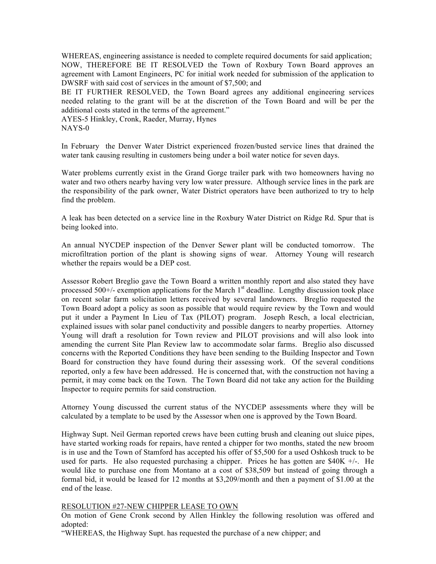WHEREAS, engineering assistance is needed to complete required documents for said application; NOW, THEREFORE BE IT RESOLVED the Town of Roxbury Town Board approves an agreement with Lamont Engineers, PC for initial work needed for submission of the application to DWSRF with said cost of services in the amount of \$7,500; and

BE IT FURTHER RESOLVED, the Town Board agrees any additional engineering services needed relating to the grant will be at the discretion of the Town Board and will be per the additional costs stated in the terms of the agreement."

AYES-5 Hinkley, Cronk, Raeder, Murray, Hynes NAYS-0

In February the Denver Water District experienced frozen/busted service lines that drained the water tank causing resulting in customers being under a boil water notice for seven days.

Water problems currently exist in the Grand Gorge trailer park with two homeowners having no water and two others nearby having very low water pressure. Although service lines in the park are the responsibility of the park owner, Water District operators have been authorized to try to help find the problem.

A leak has been detected on a service line in the Roxbury Water District on Ridge Rd. Spur that is being looked into.

An annual NYCDEP inspection of the Denver Sewer plant will be conducted tomorrow. The microfiltration portion of the plant is showing signs of wear. Attorney Young will research whether the repairs would be a DEP cost.

Assessor Robert Breglio gave the Town Board a written monthly report and also stated they have processed 500+/- exemption applications for the March  $1<sup>st</sup>$  deadline. Lengthy discussion took place on recent solar farm solicitation letters received by several landowners. Breglio requested the Town Board adopt a policy as soon as possible that would require review by the Town and would put it under a Payment In Lieu of Tax (PILOT) program. Joseph Resch, a local electrician, explained issues with solar panel conductivity and possible dangers to nearby properties. Attorney Young will draft a resolution for Town review and PILOT provisions and will also look into amending the current Site Plan Review law to accommodate solar farms. Breglio also discussed concerns with the Reported Conditions they have been sending to the Building Inspector and Town Board for construction they have found during their assessing work. Of the several conditions reported, only a few have been addressed. He is concerned that, with the construction not having a permit, it may come back on the Town. The Town Board did not take any action for the Building Inspector to require permits for said construction.

Attorney Young discussed the current status of the NYCDEP assessments where they will be calculated by a template to be used by the Assessor when one is approved by the Town Board.

Highway Supt. Neil German reported crews have been cutting brush and cleaning out sluice pipes, have started working roads for repairs, have rented a chipper for two months, stated the new broom is in use and the Town of Stamford has accepted his offer of \$5,500 for a used Oshkosh truck to be used for parts. He also requested purchasing a chipper. Prices he has gotten are  $$40K +/-$ . He would like to purchase one from Montano at a cost of \$38,509 but instead of going through a formal bid, it would be leased for 12 months at \$3,209/month and then a payment of \$1.00 at the end of the lease.

# RESOLUTION #27-NEW CHIPPER LEASE TO OWN

On motion of Gene Cronk second by Allen Hinkley the following resolution was offered and adopted:

"WHEREAS, the Highway Supt. has requested the purchase of a new chipper; and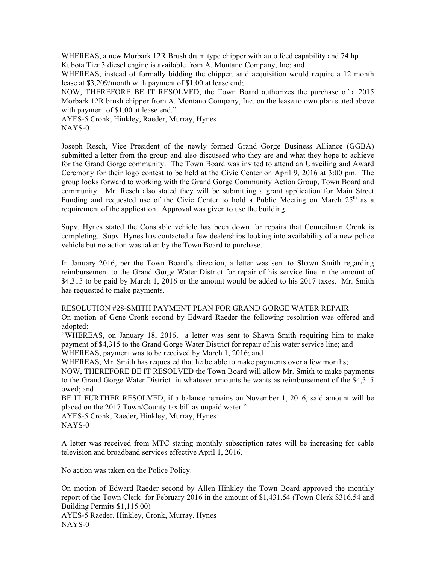WHEREAS, a new Morbark 12R Brush drum type chipper with auto feed capability and 74 hp Kubota Tier 3 diesel engine is available from A. Montano Company, Inc; and

WHEREAS, instead of formally bidding the chipper, said acquisition would require a 12 month lease at \$3,209/month with payment of \$1.00 at lease end;

NOW, THEREFORE BE IT RESOLVED, the Town Board authorizes the purchase of a 2015 Morbark 12R brush chipper from A. Montano Company, Inc. on the lease to own plan stated above with payment of \$1.00 at lease end."

AYES-5 Cronk, Hinkley, Raeder, Murray, Hynes NAYS-0

Joseph Resch, Vice President of the newly formed Grand Gorge Business Alliance (GGBA) submitted a letter from the group and also discussed who they are and what they hope to achieve for the Grand Gorge community. The Town Board was invited to attend an Unveiling and Award Ceremony for their logo contest to be held at the Civic Center on April 9, 2016 at 3:00 pm. The group looks forward to working with the Grand Gorge Community Action Group, Town Board and community. Mr. Resch also stated they will be submitting a grant application for Main Street Funding and requested use of the Civic Center to hold a Public Meeting on March  $25<sup>th</sup>$  as a requirement of the application. Approval was given to use the building.

Supv. Hynes stated the Constable vehicle has been down for repairs that Councilman Cronk is completing. Supv. Hynes has contacted a few dealerships looking into availability of a new police vehicle but no action was taken by the Town Board to purchase.

In January 2016, per the Town Board's direction, a letter was sent to Shawn Smith regarding reimbursement to the Grand Gorge Water District for repair of his service line in the amount of \$4,315 to be paid by March 1, 2016 or the amount would be added to his 2017 taxes. Mr. Smith has requested to make payments.

#### RESOLUTION #28-SMITH PAYMENT PLAN FOR GRAND GORGE WATER REPAIR

On motion of Gene Cronk second by Edward Raeder the following resolution was offered and adopted:

"WHEREAS, on January 18, 2016, a letter was sent to Shawn Smith requiring him to make payment of \$4,315 to the Grand Gorge Water District for repair of his water service line; and WHEREAS, payment was to be received by March 1, 2016; and

WHEREAS, Mr. Smith has requested that he be able to make payments over a few months;

NOW, THEREFORE BE IT RESOLVED the Town Board will allow Mr. Smith to make payments to the Grand Gorge Water District in whatever amounts he wants as reimbursement of the \$4,315 owed; and

BE IT FURTHER RESOLVED, if a balance remains on November 1, 2016, said amount will be placed on the 2017 Town/County tax bill as unpaid water."

AYES-5 Cronk, Raeder, Hinkley, Murray, Hynes NAYS-0

A letter was received from MTC stating monthly subscription rates will be increasing for cable television and broadband services effective April 1, 2016.

No action was taken on the Police Policy.

On motion of Edward Raeder second by Allen Hinkley the Town Board approved the monthly report of the Town Clerk for February 2016 in the amount of \$1,431.54 (Town Clerk \$316.54 and Building Permits \$1,115.00) AYES-5 Raeder, Hinkley, Cronk, Murray, Hynes NAYS-0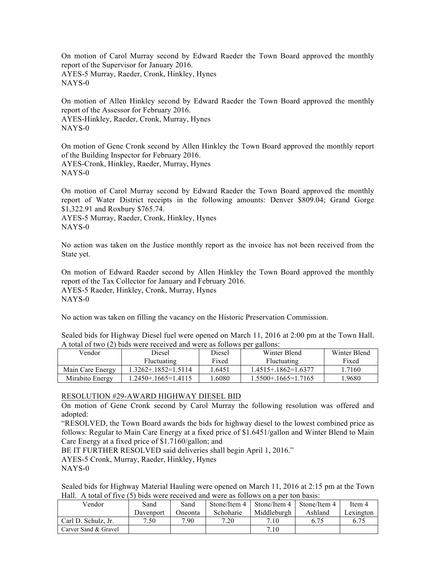On motion of Carol Murray second by Edward Raeder the Town Board approved the monthly report of the Supervisor for January 2016. AYES-5 Murray, Raeder, Cronk, Hinkley, Hynes NAYS-0

On motion of Allen Hinkley second by Edward Raeder the Town Board approved the monthly report of the Assessor for February 2016. AYES-Hinkley, Raeder, Cronk, Murray, Hynes NAYS-0

On motion of Gene Cronk second by Allen Hinkley the Town Board approved the monthly report of the Building Inspector for February 2016. AYES-Cronk, Hinkley, Raeder, Murray, Hynes NAYS-0

On motion of Carol Murray second by Edward Raeder the Town Board approved the monthly report of Water District receipts in the following amounts: Denver \$809.04; Grand Gorge \$1,322.91 and Roxbury \$765.74.

AYES-5 Murray, Raeder, Cronk, Hinkley, Hynes NAYS-0

No action was taken on the Justice monthly report as the invoice has not been received from the State yet.

On motion of Edward Raeder second by Allen Hinkley the Town Board approved the monthly report of the Tax Collector for January and February 2016. AYES-5 Raeder, Hinkley, Cronk, Murray, Hynes NAYS-0

No action was taken on filling the vacancy on the Historic Preservation Commission.

Sealed bids for Highway Diesel fuel were opened on March 11, 2016 at 2:00 pm at the Town Hall. A total of two (2) bids were received and were as follows per gallons:

| Vendor           | Diesel              | Diesel | Winter Blend             | Winter Blend |
|------------------|---------------------|--------|--------------------------|--------------|
|                  | Fluctuating         | Fixed  | <b>Fluctuating</b>       | Fixed        |
| Main Care Energy | 1.3262+.1852=1.5114 | 1.6451 | $1.4515 + 1862 = 1.6377$ | .7160        |
| Mirabito Energy  | 1.2450+.1665=1.4115 | 1.6080 | $1.5500 + 1665 = 1.7165$ | .9680        |
|                  |                     |        |                          |              |

# RESOLUTION #29-AWARD HIGHWAY DIESEL BID

On motion of Gene Cronk second by Carol Murray the following resolution was offered and adopted:

"RESOLVED, the Town Board awards the bids for highway diesel to the lowest combined price as follows: Regular to Main Care Energy at a fixed price of \$1.6451/gallon and Winter Blend to Main Care Energy at a fixed price of \$1.7160/gallon; and

BE IT FURTHER RESOLVED said deliveries shall begin April 1, 2016."

AYES-5 Cronk, Murray, Raeder, Hinkley, Hynes

NAYS-0

Sealed bids for Highway Material Hauling were opened on March 11, 2016 at 2:15 pm at the Town Hall. A total of five (5) bids were received and were as follows on a per ton basis:

| Vendor               | Sand      | Sand    | Stone/Item 4 | Stone/Item 4 | Stone/Item 4 | Item 4    |
|----------------------|-----------|---------|--------------|--------------|--------------|-----------|
|                      | Davenport | Oneonta | Schoharie    | Middleburgh  | Ashland      | Lexington |
| Carl D. Schulz, Jr.  | 7.50      | 7.90    | 7.20         | 7.10         | 6.75         | 6.75      |
| Carver Sand & Gravel |           |         |              | 7.10         |              |           |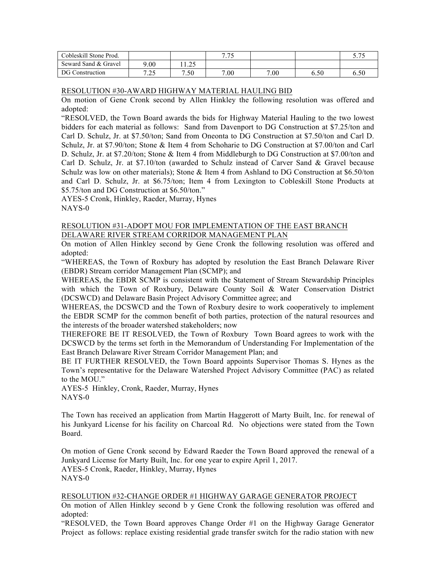| Cobleskill Stone Prod. |             |                     | 775  |      |      | $\epsilon$ $\pi$ $\epsilon$<br>ن ، ، ب |
|------------------------|-------------|---------------------|------|------|------|----------------------------------------|
| Seward Sand & Gravel   | 9.00        | $\bigcap$<br>ن کے ل |      |      |      |                                        |
| DG Construction        | 7.25<br>ن گ | 7.50                | 7.00 | 7.00 | 6.50 | 6.50                                   |

## RESOLUTION #30-AWARD HIGHWAY MATERIAL HAULING BID

On motion of Gene Cronk second by Allen Hinkley the following resolution was offered and adopted:

"RESOLVED, the Town Board awards the bids for Highway Material Hauling to the two lowest bidders for each material as follows: Sand from Davenport to DG Construction at \$7.25/ton and Carl D. Schulz, Jr. at \$7.50/ton; Sand from Oneonta to DG Construction at \$7.50/ton and Carl D. Schulz, Jr. at \$7.90/ton; Stone & Item 4 from Schoharie to DG Construction at \$7.00/ton and Carl D. Schulz, Jr. at \$7.20/ton; Stone & Item 4 from Middleburgh to DG Construction at \$7.00/ton and Carl D. Schulz, Jr. at \$7.10/ton (awarded to Schulz instead of Carver Sand & Gravel because Schulz was low on other materials); Stone & Item 4 from Ashland to DG Construction at \$6.50/ton and Carl D. Schulz, Jr. at \$6.75/ton; Item 4 from Lexington to Cobleskill Stone Products at \$5.75/ton and DG Construction at \$6.50/ton."

AYES-5 Cronk, Hinkley, Raeder, Murray, Hynes NAYS-0

## RESOLUTION #31-ADOPT MOU FOR IMPLEMENTATION OF THE EAST BRANCH DELAWARE RIVER STREAM CORRIDOR MANAGEMENT PLAN

On motion of Allen Hinkley second by Gene Cronk the following resolution was offered and adopted:

"WHEREAS, the Town of Roxbury has adopted by resolution the East Branch Delaware River (EBDR) Stream corridor Management Plan (SCMP); and

WHEREAS, the EBDR SCMP is consistent with the Statement of Stream Stewardship Principles with which the Town of Roxbury, Delaware County Soil & Water Conservation District (DCSWCD) and Delaware Basin Project Advisory Committee agree; and

WHEREAS, the DCSWCD and the Town of Roxbury desire to work cooperatively to implement the EBDR SCMP for the common benefit of both parties, protection of the natural resources and the interests of the broader watershed stakeholders; now

THEREFORE BE IT RESOLVED, the Town of Roxbury Town Board agrees to work with the DCSWCD by the terms set forth in the Memorandum of Understanding For Implementation of the East Branch Delaware River Stream Corridor Management Plan; and

BE IT FURTHER RESOLVED, the Town Board appoints Supervisor Thomas S. Hynes as the Town's representative for the Delaware Watershed Project Advisory Committee (PAC) as related to the MOU."

AYES-5 Hinkley, Cronk, Raeder, Murray, Hynes NAYS-0

The Town has received an application from Martin Haggerott of Marty Built, Inc. for renewal of his Junkyard License for his facility on Charcoal Rd. No objections were stated from the Town Board.

On motion of Gene Cronk second by Edward Raeder the Town Board approved the renewal of a Junkyard License for Marty Built, Inc. for one year to expire April 1, 2017. AYES-5 Cronk, Raeder, Hinkley, Murray, Hynes NAYS-0

# RESOLUTION #32-CHANGE ORDER #1 HIGHWAY GARAGE GENERATOR PROJECT

On motion of Allen Hinkley second b y Gene Cronk the following resolution was offered and adopted:

"RESOLVED, the Town Board approves Change Order #1 on the Highway Garage Generator Project as follows: replace existing residential grade transfer switch for the radio station with new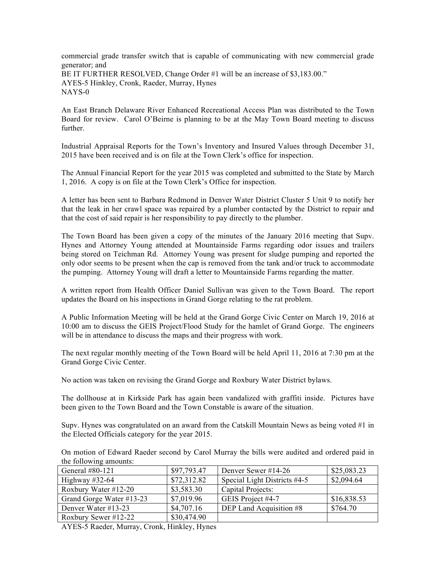commercial grade transfer switch that is capable of communicating with new commercial grade generator; and BE IT FURTHER RESOLVED, Change Order #1 will be an increase of \$3,183.00." AYES-5 Hinkley, Cronk, Raeder, Murray, Hynes NAYS-0

An East Branch Delaware River Enhanced Recreational Access Plan was distributed to the Town Board for review. Carol O'Beirne is planning to be at the May Town Board meeting to discuss further.

Industrial Appraisal Reports for the Town's Inventory and Insured Values through December 31, 2015 have been received and is on file at the Town Clerk's office for inspection.

The Annual Financial Report for the year 2015 was completed and submitted to the State by March 1, 2016. A copy is on file at the Town Clerk's Office for inspection.

A letter has been sent to Barbara Redmond in Denver Water District Cluster 5 Unit 9 to notify her that the leak in her crawl space was repaired by a plumber contacted by the District to repair and that the cost of said repair is her responsibility to pay directly to the plumber.

The Town Board has been given a copy of the minutes of the January 2016 meeting that Supv. Hynes and Attorney Young attended at Mountainside Farms regarding odor issues and trailers being stored on Teichman Rd. Attorney Young was present for sludge pumping and reported the only odor seems to be present when the cap is removed from the tank and/or truck to accommodate the pumping. Attorney Young will draft a letter to Mountainside Farms regarding the matter.

A written report from Health Officer Daniel Sullivan was given to the Town Board. The report updates the Board on his inspections in Grand Gorge relating to the rat problem.

A Public Information Meeting will be held at the Grand Gorge Civic Center on March 19, 2016 at 10:00 am to discuss the GEIS Project/Flood Study for the hamlet of Grand Gorge. The engineers will be in attendance to discuss the maps and their progress with work.

The next regular monthly meeting of the Town Board will be held April 11, 2016 at 7:30 pm at the Grand Gorge Civic Center.

No action was taken on revising the Grand Gorge and Roxbury Water District bylaws.

The dollhouse at in Kirkside Park has again been vandalized with graffiti inside. Pictures have been given to the Town Board and the Town Constable is aware of the situation.

Supv. Hynes was congratulated on an award from the Catskill Mountain News as being voted #1 in the Elected Officials category for the year 2015.

On motion of Edward Raeder second by Carol Murray the bills were audited and ordered paid in the following amounts:

| General #80-121          | \$97,793.47 | Denver Sewer #14-26          | \$25,083.23 |
|--------------------------|-------------|------------------------------|-------------|
| Highway $\#32-64$        | \$72,312.82 | Special Light Districts #4-5 | \$2,094.64  |
| Roxbury Water #12-20     | \$3,583.30  | Capital Projects:            |             |
| Grand Gorge Water #13-23 | \$7,019.96  | GEIS Project #4-7            | \$16,838.53 |
| Denver Water #13-23      | \$4,707.16  | DEP Land Acquisition #8      | \$764.70    |
| Roxbury Sewer #12-22     | \$30,474.90 |                              |             |

AYES-5 Raeder, Murray, Cronk, Hinkley, Hynes